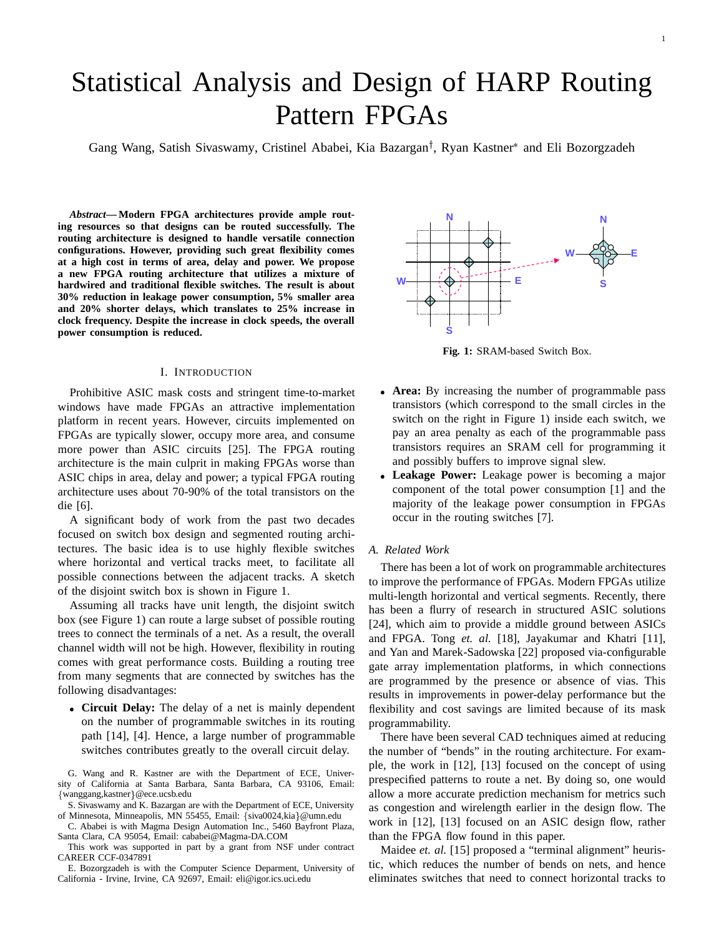# Statistical Analysis and Design of HARP Routing Pattern FPGAs

Gang Wang, Satish Sivaswamy, Cristinel Ababei, Kia Bazargan<sup>†</sup>, Ryan Kastner<sup>\*</sup> and Eli Bozorgzadeh

*Abstract***— Modern FPGA architectures provide ample routing resources so that designs can be routed successfully. The routing architecture is designed to handle versatile connection configurations. However, providing such great flexibility comes at a high cost in terms of area, delay and power. We propose a new FPGA routing architecture that utilizes a mixture of hardwired and traditional flexible switches. The result is about 30% reduction in leakage power consumption, 5% smaller area and 20% shorter delays, which translates to 25% increase in clock frequency. Despite the increase in clock speeds, the overall power consumption is reduced.**

## I. INTRODUCTION

Prohibitive ASIC mask costs and stringent time-to-market windows have made FPGAs an attractive implementation platform in recent years. However, circuits implemented on FPGAs are typically slower, occupy more area, and consume more power than ASIC circuits [25]. The FPGA routing architecture is the main culprit in making FPGAs worse than ASIC chips in area, delay and power; a typical FPGA routing architecture uses about 70-90% of the total transistors on the die [6].

A significant body of work from the past two decades focused on switch box design and segmented routing architectures. The basic idea is to use highly flexible switches where horizontal and vertical tracks meet, to facilitate all possible connections between the adjacent tracks. A sketch of the disjoint switch box is shown in Figure 1.

Assuming all tracks have unit length, the disjoint switch box (see Figure 1) can route a large subset of possible routing trees to connect the terminals of a net. As a result, the overall channel width will not be high. However, flexibility in routing comes with great performance costs. Building a routing tree from many segments that are connected by switches has the following disadvantages:

 **Circuit Delay:** The delay of a net is mainly dependent on the number of programmable switches in its routing path [14], [4]. Hence, a large number of programmable switches contributes greatly to the overall circuit delay.

G. Wang and R. Kastner are with the Department of ECE, University of California at Santa Barbara, Santa Barbara, CA 93106, Email: {wanggang,kastner}@ece.ucsb.edu

C. Ababei is with Magma Design Automation Inc., 5460 Bayfront Plaza, Santa Clara, CA 95054, Email: cababei@Magma-DA.COM

This work was supported in part by a grant from NSF under contract CAREER CCF-0347891

E. Bozorgzadeh is with the Computer Science Deparment, University of California - Irvine, Irvine, CA 92697, Email: eli@igor.ics.uci.edu



**Fig. 1:** SRAM-based Switch Box.

- **Area:** By increasing the number of programmable pass transistors (which correspond to the small circles in the switch on the right in Figure 1) inside each switch, we pay an area penalty as each of the programmable pass transistors requires an SRAM cell for programming it and possibly buffers to improve signal slew.
- **Leakage Power:** Leakage power is becoming a major component of the total power consumption [1] and the majority of the leakage power consumption in FPGAs occur in the routing switches [7].

## *A. Related Work*

There has been a lot of work on programmable architectures to improve the performance of FPGAs. Modern FPGAs utilize multi-length horizontal and vertical segments. Recently, there has been a flurry of research in structured ASIC solutions [24], which aim to provide a middle ground between ASICs and FPGA. Tong *et. al.* [18], Jayakumar and Khatri [11], and Yan and Marek-Sadowska [22] proposed via-configurable gate array implementation platforms, in which connections are programmed by the presence or absence of vias. This results in improvements in power-delay performance but the flexibility and cost savings are limited because of its mask programmability.

There have been several CAD techniques aimed at reducing the number of "bends" in the routing architecture. For example, the work in [12], [13] focused on the concept of using prespecified patterns to route a net. By doing so, one would allow a more accurate prediction mechanism for metrics such as congestion and wirelength earlier in the design flow. The work in [12], [13] focused on an ASIC design flow, rather than the FPGA flow found in this paper.

Maidee et. al. [15] proposed a "terminal alignment" heuristic, which reduces the number of bends on nets, and hence eliminates switches that need to connect horizontal tracks to

S. Sivaswamy and K. Bazargan are with the Department of ECE, University of Minnesota, Minneapolis, MN 55455, Email: {siva0024,kia}@umn.edu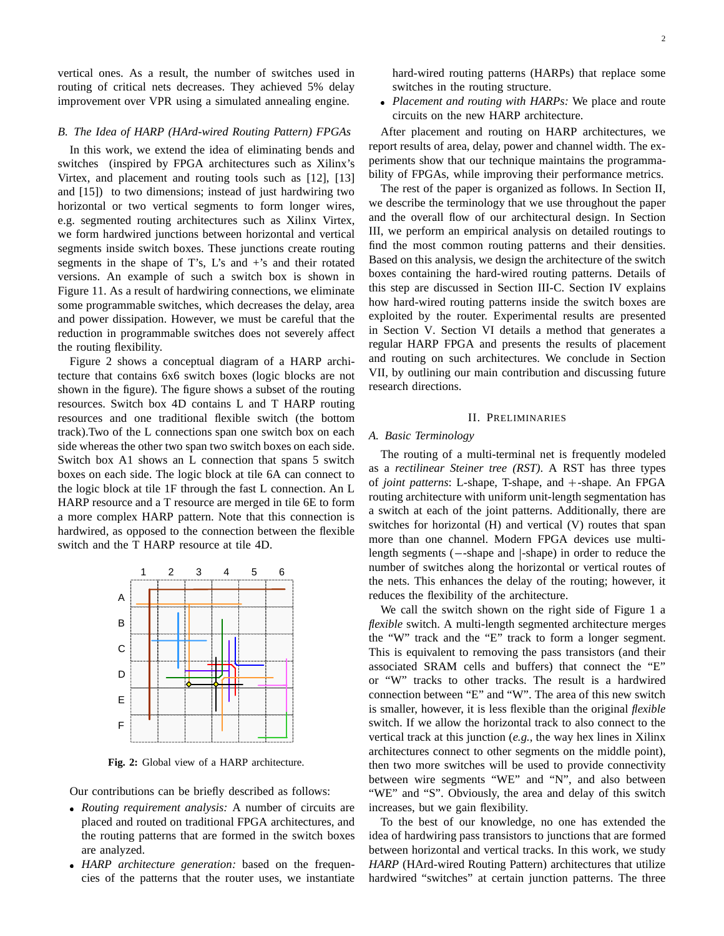vertical ones. As a result, the number of switches used in routing of critical nets decreases. They achieved 5% delay improvement over VPR using a simulated annealing engine.

# *B. The Idea of HARP (HArd-wired Routing Pattern) FPGAs*

In this work, we extend the idea of eliminating bends and switches (inspired by FPGA architectures such as Xilinx's Virtex, and placement and routing tools such as [12], [13] and [15]) to two dimensions; instead of just hardwiring two horizontal or two vertical segments to form longer wires, e.g. segmented routing architectures such as Xilinx Virtex, we form hardwired junctions between horizontal and vertical segments inside switch boxes. These junctions create routing segments in the shape of T's,  $L$ 's and  $+$ 's and their rotated versions. An example of such a switch box is shown in Figure 11. As a result of hardwiring connections, we eliminate some programmable switches, which decreases the delay, area and power dissipation. However, we must be careful that the reduction in programmable switches does not severely affect the routing flexibility.

Figure 2 shows a conceptual diagram of a HARP architecture that contains 6x6 switch boxes (logic blocks are not shown in the figure). The figure shows a subset of the routing resources. Switch box 4D contains L and T HARP routing resources and one traditional flexible switch (the bottom track).Two of the L connections span one switch box on each side whereas the other two span two switch boxes on each side. Switch box A1 shows an L connection that spans 5 switch boxes on each side. The logic block at tile 6A can connect to the logic block at tile 1F through the fast L connection. An L HARP resource and a T resource are merged in tile 6E to form a more complex HARP pattern. Note that this connection is hardwired, as opposed to the connection between the flexible switch and the T HARP resource at tile 4D.



**Fig. 2:** Global view of a HARP architecture.

Our contributions can be briefly described as follows:

- *Routing requirement analysis:* A number of circuits are placed and routed on traditional FPGA architectures, and the routing patterns that are formed in the switch boxes are analyzed.
- *HARP architecture generation:* based on the frequencies of the patterns that the router uses, we instantiate

 *Placement and routing with HARPs:* We place and route circuits on the new HARP architecture.

After placement and routing on HARP architectures, we report results of area, delay, power and channel width. The experiments show that our technique maintains the programmability of FPGAs, while improving their performance metrics.

The rest of the paper is organized as follows. In Section II, we describe the terminology that we use throughout the paper and the overall flow of our architectural design. In Section III, we perform an empirical analysis on detailed routings to find the most common routing patterns and their densities. Based on this analysis, we design the architecture of the switch boxes containing the hard-wired routing patterns. Details of this step are discussed in Section III-C. Section IV explains how hard-wired routing patterns inside the switch boxes are exploited by the router. Experimental results are presented in Section V. Section VI details a method that generates a regular HARP FPGA and presents the results of placement and routing on such architectures. We conclude in Section VII, by outlining our main contribution and discussing future research directions.

#### II. PRELIMINARIES

### *A. Basic Terminology*

The routing of a multi-terminal net is frequently modeled as a *rectilinear Steiner tree (RST)*. A RST has three types of *joint patterns*: L-shape, T-shape, and <sup>+</sup>-shape. An FPGA routing architecture with uniform unit-length segmentation has a switch at each of the joint patterns. Additionally, there are switches for horizontal (H) and vertical (V) routes that span more than one channel. Modern FPGA devices use multilength segments  $(-\text{-shape and }|\text{-shape})$  in order to reduce the number of switches along the horizontal or vertical routes of the nets. This enhances the delay of the routing; however, it reduces the flexibility of the architecture.

We call the switch shown on the right side of Figure 1 a *flexible* switch. A multi-length segmented architecture merges the "W" track and the "E" track to form a longer segment. This is equivalent to removing the pass transistors (and their associated SRAM cells and buffers) that connect the "E" or "W" tracks to other tracks. The result is a hardwired connection between "E" and "W". The area of this new switch is smaller, however, it is less flexible than the original *flexible* switch. If we allow the horizontal track to also connect to the vertical track at this junction (*e.g.*, the way hex lines in Xilinx architectures connect to other segments on the middle point), then two more switches will be used to provide connectivity between wire segments "WE" and "N", and also between "WE" and "S". Obviously, the area and delay of this switch increases, but we gain flexibility.

To the best of our knowledge, no one has extended the idea of hardwiring pass transistors to junctions that are formed between horizontal and vertical tracks. In this work, we study *HARP* (HArd-wired Routing Pattern) architectures that utilize hardwired "switches" at certain junction patterns. The three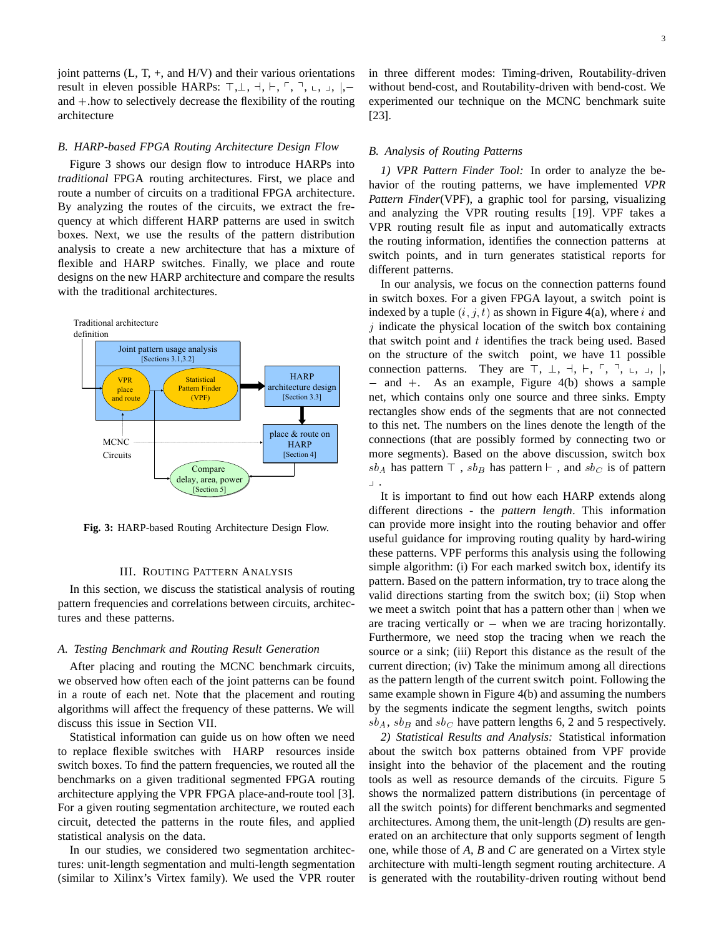joint patterns  $(L, T, +,$  and  $H/V$ ) and their various orientations result in eleven possible HARPs: <sup>&</sup>gt;,?, <sup>a</sup>, `, <sup>p</sup>, <sup>q</sup>, <sup>x</sup>, <sup>y</sup>, <sup>j</sup>, and <sup>+</sup>.how to selectively decrease the flexibility of the routing architecture

#### *B. HARP-based FPGA Routing Architecture Design Flow*

Figure 3 shows our design flow to introduce HARPs into *traditional* FPGA routing architectures. First, we place and route a number of circuits on a traditional FPGA architecture. By analyzing the routes of the circuits, we extract the frequency at which different HARP patterns are used in switch boxes. Next, we use the results of the pattern distribution analysis to create a new architecture that has a mixture of flexible and HARP switches. Finally, we place and route designs on the new HARP architecture and compare the results with the traditional architectures.



**Fig. 3:** HARP-based Routing Architecture Design Flow.

## III. ROUTING PATTERN ANALYSIS

In this section, we discuss the statistical analysis of routing pattern frequencies and correlations between circuits, architectures and these patterns.

## *A. Testing Benchmark and Routing Result Generation*

After placing and routing the MCNC benchmark circuits, we observed how often each of the joint patterns can be found in a route of each net. Note that the placement and routing algorithms will affect the frequency of these patterns. We will discuss this issue in Section VII.

Statistical information can guide us on how often we need to replace flexible switches with HARP resources inside switch boxes. To find the pattern frequencies, we routed all the benchmarks on a given traditional segmented FPGA routing architecture applying the VPR FPGA place-and-route tool [3]. For a given routing segmentation architecture, we routed each circuit, detected the patterns in the route files, and applied statistical analysis on the data.

In our studies, we considered two segmentation architectures: unit-length segmentation and multi-length segmentation (similar to Xilinx's Virtex family). We used the VPR router in three different modes: Timing-driven, Routability-driven without bend-cost, and Routability-driven with bend-cost. We experimented our technique on the MCNC benchmark suite [23].

#### *B. Analysis of Routing Patterns*

*1) VPR Pattern Finder Tool:* In order to analyze the behavior of the routing patterns, we have implemented *VPR Pattern Finder*(VPF), a graphic tool for parsing, visualizing and analyzing the VPR routing results [19]. VPF takes a VPR routing result file as input and automatically extracts the routing information, identifies the connection patterns at switch points, and in turn generates statistical reports for different patterns.

In our analysis, we focus on the connection patterns found in switch boxes. For a given FPGA layout, a switch point is indexed by a tuple  $(i, j, t)$  as shown in Figure 4(a), where i and  $j$  indicate the physical location of the switch box containing that switch point and  $t$  identifies the track being used. Based on the structure of the switch point, we have 11 possible connection patterns. They are  $\top$ ,  $\bot$ ,  $\dashv$ ,  $\vdash$ ,  $\top$ ,  $\top$ ,  $\bot$ ,  $\bot$ ,  $\parallel$ ,  $-$  and  $+$ . As an example, Figure 4(b) shows a sample net, which contains only one source and three sinks. Empty rectangles show ends of the segments that are not connected to this net. The numbers on the lines denote the length of the connections (that are possibly formed by connecting two or more segments). Based on the above discussion, switch box  $sb_A$  has pattern  $\top$ ,  $sb_B$  has pattern  $\vdash$ , and  $sb_C$  is of pattern  $\perp$  .

It is important to find out how each HARP extends along different directions - the *pattern length*. This information can provide more insight into the routing behavior and offer useful guidance for improving routing quality by hard-wiring these patterns. VPF performs this analysis using the following simple algorithm: (i) For each marked switch box, identify its pattern. Based on the pattern information, try to trace along the valid directions starting from the switch box; (ii) Stop when we meet a switch point that has a pattern other than  $\vert$  when we are tracing vertically or  $-$  when we are tracing horizontally. Furthermore, we need stop the tracing when we reach the source or a sink; (iii) Report this distance as the result of the current direction; (iv) Take the minimum among all directions as the pattern length of the current switch point. Following the same example shown in Figure 4(b) and assuming the numbers by the segments indicate the segment lengths, switch points  $sb_A, sb_B$  and  $sb_C$  have pattern lengths 6, 2 and 5 respectively.

*2) Statistical Results and Analysis:* Statistical information about the switch box patterns obtained from VPF provide insight into the behavior of the placement and the routing tools as well as resource demands of the circuits. Figure 5 shows the normalized pattern distributions (in percentage of all the switch points) for different benchmarks and segmented architectures. Among them, the unit-length (*D*) results are generated on an architecture that only supports segment of length one, while those of *A*, *B* and *C* are generated on a Virtex style architecture with multi-length segment routing architecture. *A* is generated with the routability-driven routing without bend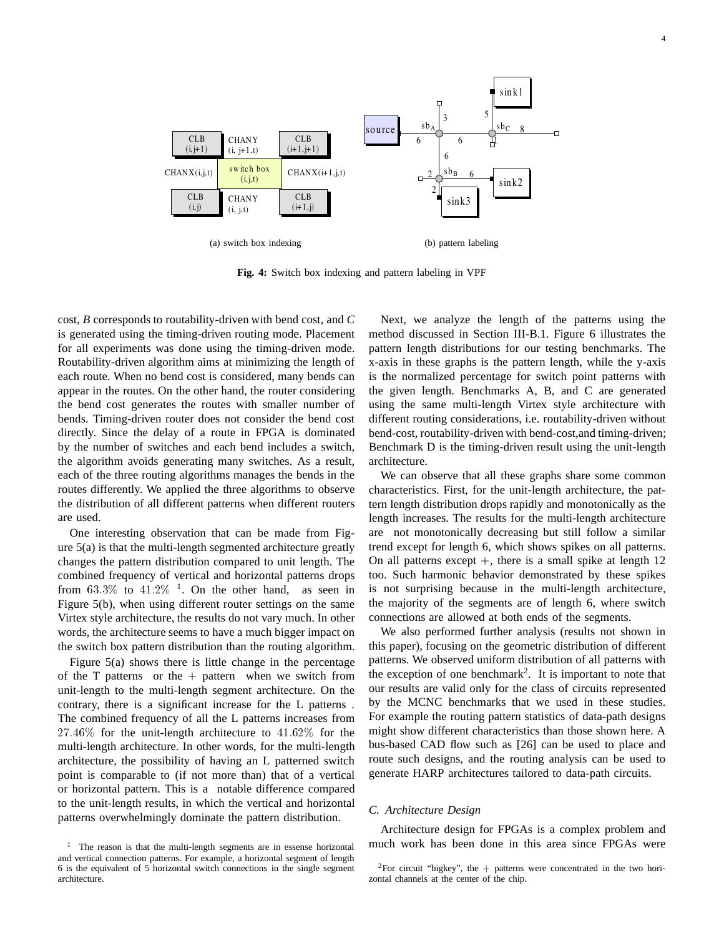

**Fig. 4:** Switch box indexing and pattern labeling in VPF

cost, *B* corresponds to routability-driven with bend cost, and *C* is generated using the timing-driven routing mode. Placement for all experiments was done using the timing-driven mode. Routability-driven algorithm aims at minimizing the length of each route. When no bend cost is considered, many bends can appear in the routes. On the other hand, the router considering the bend cost generates the routes with smaller number of bends. Timing-driven router does not consider the bend cost directly. Since the delay of a route in FPGA is dominated by the number of switches and each bend includes a switch, the algorithm avoids generating many switches. As a result, each of the three routing algorithms manages the bends in the routes differently. We applied the three algorithms to observe the distribution of all different patterns when different routers are used.

One interesting observation that can be made from Figure 5(a) is that the multi-length segmented architecture greatly changes the pattern distribution compared to unit length. The combined frequency of vertical and horizontal patterns drops from 63.3% to  $41.2\%$ <sup>1</sup>. On the other hand, as seen in Figure 5(b), when using different router settings on the same Virtex style architecture, the results do not vary much. In other words, the architecture seems to have a much bigger impact on the switch box pattern distribution than the routing algorithm.

Figure 5(a) shows there is little change in the percentage of the T patterns or the  $+$  pattern when we switch from unit-length to the multi-length segment architecture. On the contrary, there is a significant increase for the L patterns . The combined frequency of all the L patterns increases from  $27.46\%$  for the unit-length architecture to  $41.62\%$  for the multi-length architecture. In other words, for the multi-length architecture, the possibility of having an L patterned switch point is comparable to (if not more than) that of a vertical or horizontal pattern. This is a notable difference compared to the unit-length results, in which the vertical and horizontal patterns overwhelmingly dominate the pattern distribution.

Next, we analyze the length of the patterns using the method discussed in Section III-B.1. Figure 6 illustrates the pattern length distributions for our testing benchmarks. The x-axis in these graphs is the pattern length, while the y-axis is the normalized percentage for switch point patterns with the given length. Benchmarks A, B, and C are generated using the same multi-length Virtex style architecture with different routing considerations, i.e. routability-driven without bend-cost, routability-driven with bend-cost,and timing-driven; Benchmark D is the timing-driven result using the unit-length architecture.

We can observe that all these graphs share some common characteristics. First, for the unit-length architecture, the pattern length distribution drops rapidly and monotonically as the length increases. The results for the multi-length architecture are not monotonically decreasing but still follow a similar trend except for length 6, which shows spikes on all patterns. On all patterns except  $+$ , there is a small spike at length 12 too. Such harmonic behavior demonstrated by these spikes is not surprising because in the multi-length architecture, the majority of the segments are of length 6, where switch connections are allowed at both ends of the segments.

We also performed further analysis (results not shown in this paper), focusing on the geometric distribution of different patterns. We observed uniform distribution of all patterns with the exception of one benchmark<sup>2</sup>. It is important to note that our results are valid only for the class of circuits represented by the MCNC benchmarks that we used in these studies. For example the routing pattern statistics of data-path designs might show different characteristics than those shown here. A bus-based CAD flow such as [26] can be used to place and route such designs, and the routing analysis can be used to generate HARP architectures tailored to data-path circuits.

## *C. Architecture Design*

Architecture design for FPGAs is a complex problem and much work has been done in this area since FPGAs were

<sup>&</sup>lt;sup>1</sup> The reason is that the multi-length segments are in essense horizontal and vertical connection patterns. For example, a horizontal segment of length 6 is the equivalent of 5 horizontal switch connections in the single segment architecture.

<sup>&</sup>lt;sup>2</sup>For circuit "bigkey", the  $+$  patterns were concentrated in the two horizontal channels at the center of the chip.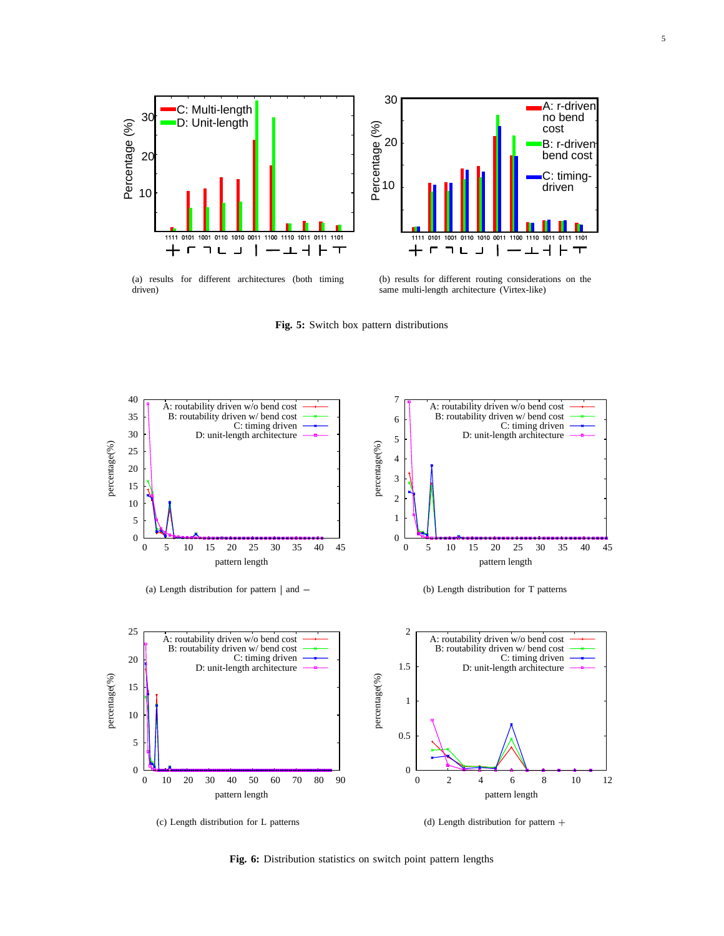



(a) results for different architectures (both timing driven)

(b) results for different routing considerations on the same multi-length architecture (Virtex-like)

**Fig. 5:** Switch box pattern distributions



**Fig. 6:** Distribution statistics on switch point pattern lengths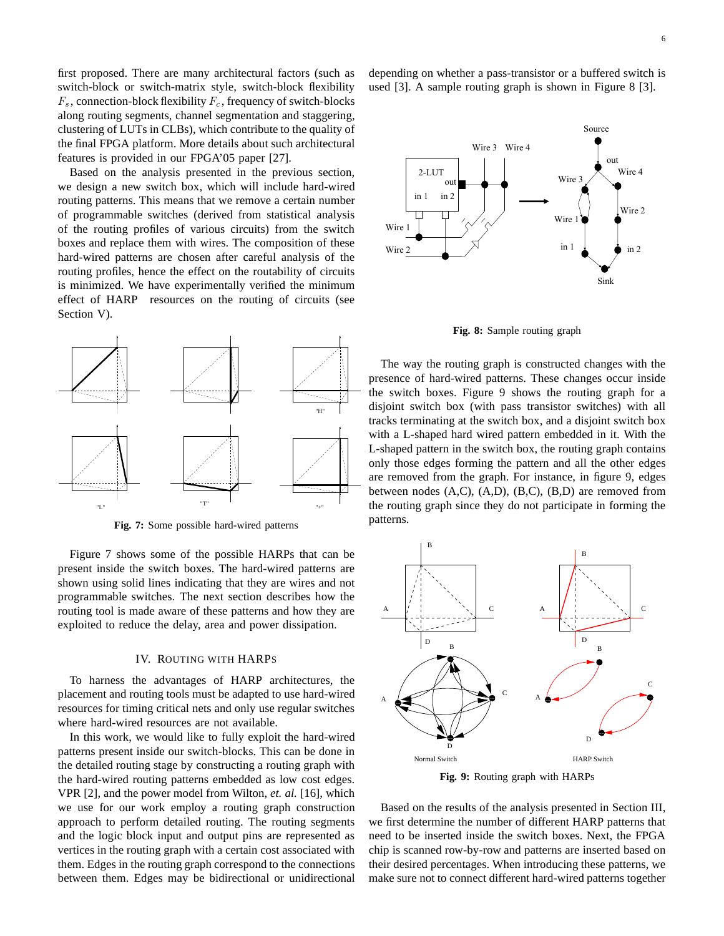first proposed. There are many architectural factors (such as switch-block or switch-matrix style, switch-block flexibility  $F_s$ , connection-block flexibility  $F_c$ , frequency of switch-blocks along routing segments, channel segmentation and staggering, clustering of LUTs in CLBs), which contribute to the quality of the final FPGA platform. More details about such architectural features is provided in our FPGA'05 paper [27].

Based on the analysis presented in the previous section, we design a new switch box, which will include hard-wired routing patterns. This means that we remove a certain number of programmable switches (derived from statistical analysis of the routing profiles of various circuits) from the switch boxes and replace them with wires. The composition of these hard-wired patterns are chosen after careful analysis of the routing profiles, hence the effect on the routability of circuits is minimized. We have experimentally verified the minimum effect of HARP resources on the routing of circuits (see Section V).



**Fig. 7:** Some possible hard-wired patterns

Figure 7 shows some of the possible HARPs that can be present inside the switch boxes. The hard-wired patterns are shown using solid lines indicating that they are wires and not programmable switches. The next section describes how the routing tool is made aware of these patterns and how they are exploited to reduce the delay, area and power dissipation.

#### IV. ROUTING WITH HARPS

To harness the advantages of HARP architectures, the placement and routing tools must be adapted to use hard-wired resources for timing critical nets and only use regular switches where hard-wired resources are not available.

In this work, we would like to fully exploit the hard-wired patterns present inside our switch-blocks. This can be done in the detailed routing stage by constructing a routing graph with the hard-wired routing patterns embedded as low cost edges. VPR [2], and the power model from Wilton, *et. al.* [16], which we use for our work employ a routing graph construction approach to perform detailed routing. The routing segments and the logic block input and output pins are represented as vertices in the routing graph with a certain cost associated with them. Edges in the routing graph correspond to the connections between them. Edges may be bidirectional or unidirectional depending on whether a pass-transistor or a buffered switch is used [3]. A sample routing graph is shown in Figure 8 [3].



**Fig. 8:** Sample routing graph

The way the routing graph is constructed changes with the presence of hard-wired patterns. These changes occur inside the switch boxes. Figure 9 shows the routing graph for a disjoint switch box (with pass transistor switches) with all tracks terminating at the switch box, and a disjoint switch box with a L-shaped hard wired pattern embedded in it. With the L-shaped pattern in the switch box, the routing graph contains only those edges forming the pattern and all the other edges are removed from the graph. For instance, in figure 9, edges between nodes (A,C), (A,D), (B,C), (B,D) are removed from the routing graph since they do not participate in forming the patterns.



**Fig. 9:** Routing graph with HARPs

Based on the results of the analysis presented in Section III, we first determine the number of different HARP patterns that need to be inserted inside the switch boxes. Next, the FPGA chip is scanned row-by-row and patterns are inserted based on their desired percentages. When introducing these patterns, we make sure not to connect different hard-wired patterns together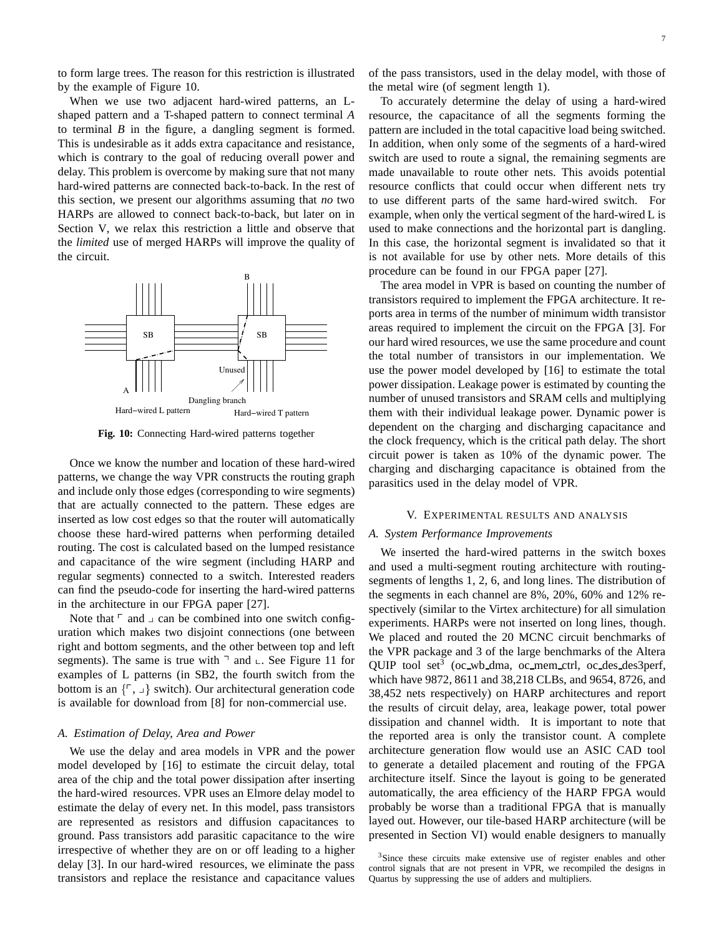to form large trees. The reason for this restriction is illustrated by the example of Figure 10.

When we use two adjacent hard-wired patterns, an Lshaped pattern and a T-shaped pattern to connect terminal *A* to terminal *B* in the figure, a dangling segment is formed. This is undesirable as it adds extra capacitance and resistance, which is contrary to the goal of reducing overall power and delay. This problem is overcome by making sure that not many hard-wired patterns are connected back-to-back. In the rest of this section, we present our algorithms assuming that *no* two HARPs are allowed to connect back-to-back, but later on in Section V, we relax this restriction a little and observe that the *limited* use of merged HARPs will improve the quality of the circuit.



**Fig. 10:** Connecting Hard-wired patterns together

Once we know the number and location of these hard-wired patterns, we change the way VPR constructs the routing graph and include only those edges (corresponding to wire segments) that are actually connected to the pattern. These edges are inserted as low cost edges so that the router will automatically choose these hard-wired patterns when performing detailed routing. The cost is calculated based on the lumped resistance and capacitance of the wire segment (including HARP and regular segments) connected to a switch. Interested readers can find the pseudo-code for inserting the hard-wired patterns in the architecture in our FPGA paper [27].

Note that  $\ulcorner$  and  $\lrcorner$  can be combined into one switch configuration which makes two disjoint connections (one between right and bottom segments, and the other between top and left segments). The same is true with  $\exists$  and  $\bot$ . See Figure 11 for examples of L patterns (in SB2, the fourth switch from the bottom is an  $\{\ulcorner, \rfloor\}$  switch). Our architectural generation code is available for download from [8] for non-commercial use.

## *A. Estimation of Delay, Area and Power*

We use the delay and area models in VPR and the power model developed by [16] to estimate the circuit delay, total area of the chip and the total power dissipation after inserting the hard-wired resources. VPR uses an Elmore delay model to estimate the delay of every net. In this model, pass transistors are represented as resistors and diffusion capacitances to ground. Pass transistors add parasitic capacitance to the wire irrespective of whether they are on or off leading to a higher delay [3]. In our hard-wired resources, we eliminate the pass transistors and replace the resistance and capacitance values of the pass transistors, used in the delay model, with those of the metal wire (of segment length 1).

To accurately determine the delay of using a hard-wired resource, the capacitance of all the segments forming the pattern are included in the total capacitive load being switched. In addition, when only some of the segments of a hard-wired switch are used to route a signal, the remaining segments are made unavailable to route other nets. This avoids potential resource conflicts that could occur when different nets try to use different parts of the same hard-wired switch. For example, when only the vertical segment of the hard-wired L is used to make connections and the horizontal part is dangling. In this case, the horizontal segment is invalidated so that it is not available for use by other nets. More details of this procedure can be found in our FPGA paper [27].

The area model in VPR is based on counting the number of transistors required to implement the FPGA architecture. It reports area in terms of the number of minimum width transistor areas required to implement the circuit on the FPGA [3]. For our hard wired resources, we use the same procedure and count the total number of transistors in our implementation. We use the power model developed by [16] to estimate the total power dissipation. Leakage power is estimated by counting the number of unused transistors and SRAM cells and multiplying them with their individual leakage power. Dynamic power is dependent on the charging and discharging capacitance and the clock frequency, which is the critical path delay. The short circuit power is taken as 10% of the dynamic power. The charging and discharging capacitance is obtained from the parasitics used in the delay model of VPR.

## V. EXPERIMENTAL RESULTS AND ANALYSIS

# *A. System Performance Improvements*

We inserted the hard-wired patterns in the switch boxes and used a multi-segment routing architecture with routingsegments of lengths 1, 2, 6, and long lines. The distribution of the segments in each channel are 8%, 20%, 60% and 12% respectively (similar to the Virtex architecture) for all simulation experiments. HARPs were not inserted on long lines, though. We placed and routed the 20 MCNC circuit benchmarks of the VPR package and 3 of the large benchmarks of the Altera QUIP tool set<sup>3</sup> (oc\_wb\_dma, oc\_mem\_ctrl, oc\_des\_des3perf, which have 9872, 8611 and 38,218 CLBs, and 9654, 8726, and 38,452 nets respectively) on HARP architectures and report the results of circuit delay, area, leakage power, total power dissipation and channel width. It is important to note that the reported area is only the transistor count. A complete architecture generation flow would use an ASIC CAD tool to generate a detailed placement and routing of the FPGA architecture itself. Since the layout is going to be generated automatically, the area efficiency of the HARP FPGA would probably be worse than a traditional FPGA that is manually layed out. However, our tile-based HARP architecture (will be presented in Section VI) would enable designers to manually

<sup>&</sup>lt;sup>3</sup>Since these circuits make extensive use of register enables and other control signals that are not present in VPR, we recompiled the designs in Quartus by suppressing the use of adders and multipliers.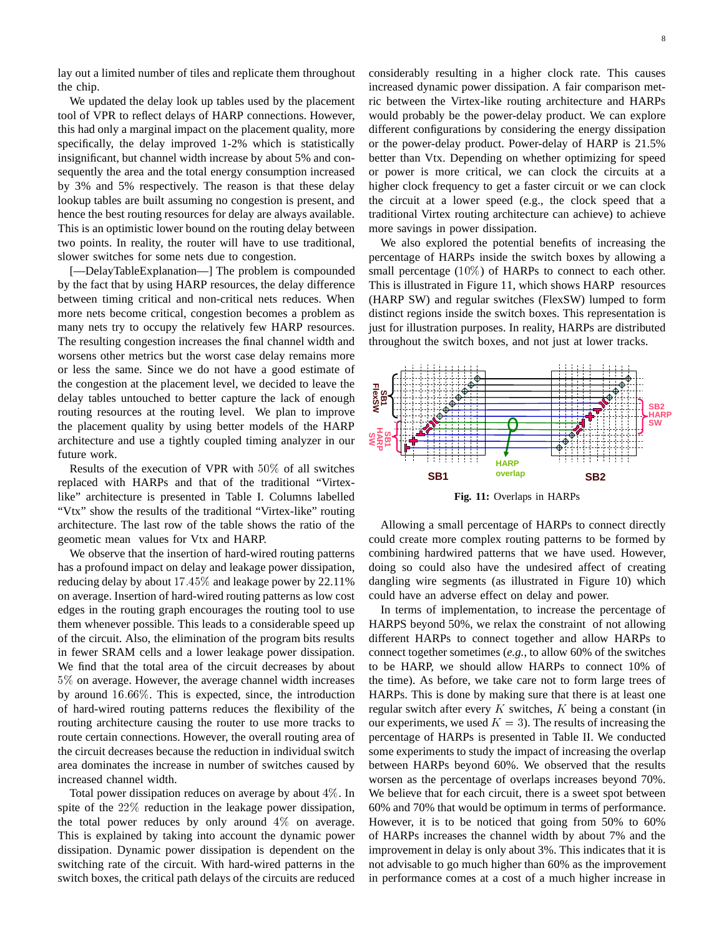lay out a limited number of tiles and replicate them throughout the chip.

We updated the delay look up tables used by the placement tool of VPR to reflect delays of HARP connections. However, this had only a marginal impact on the placement quality, more specifically, the delay improved 1-2% which is statistically insignificant, but channel width increase by about 5% and consequently the area and the total energy consumption increased by 3% and 5% respectively. The reason is that these delay lookup tables are built assuming no congestion is present, and hence the best routing resources for delay are always available. This is an optimistic lower bound on the routing delay between two points. In reality, the router will have to use traditional, slower switches for some nets due to congestion.

[—DelayTableExplanation—] The problem is compounded by the fact that by using HARP resources, the delay difference between timing critical and non-critical nets reduces. When more nets become critical, congestion becomes a problem as many nets try to occupy the relatively few HARP resources. The resulting congestion increases the final channel width and worsens other metrics but the worst case delay remains more or less the same. Since we do not have a good estimate of the congestion at the placement level, we decided to leave the delay tables untouched to better capture the lack of enough routing resources at the routing level. We plan to improve the placement quality by using better models of the HARP architecture and use a tightly coupled timing analyzer in our future work.

Results of the execution of VPR with 50% of all switches replaced with HARPs and that of the traditional "Virtexlike" architecture is presented in Table I. Columns labelled "Vtx" show the results of the traditional "Virtex-like" routing architecture. The last row of the table shows the ratio of the geometic mean values for Vtx and HARP.

We observe that the insertion of hard-wired routing patterns has a profound impact on delay and leakage power dissipation, reducing delay by about  $17.45\%$  and leakage power by 22.11% on average. Insertion of hard-wired routing patterns as low cost edges in the routing graph encourages the routing tool to use them whenever possible. This leads to a considerable speed up of the circuit. Also, the elimination of the program bits results in fewer SRAM cells and a lower leakage power dissipation. We find that the total area of the circuit decreases by about 5% on average. However, the average channel width increases by around 16:66%. This is expected, since, the introduction of hard-wired routing patterns reduces the flexibility of the routing architecture causing the router to use more tracks to route certain connections. However, the overall routing area of the circuit decreases because the reduction in individual switch area dominates the increase in number of switches caused by increased channel width.

Total power dissipation reduces on average by about 4%. In spite of the 22% reduction in the leakage power dissipation, the total power reduces by only around  $4\%$  on average. This is explained by taking into account the dynamic power dissipation. Dynamic power dissipation is dependent on the switching rate of the circuit. With hard-wired patterns in the switch boxes, the critical path delays of the circuits are reduced considerably resulting in a higher clock rate. This causes increased dynamic power dissipation. A fair comparison metric between the Virtex-like routing architecture and HARPs would probably be the power-delay product. We can explore different configurations by considering the energy dissipation or the power-delay product. Power-delay of HARP is 21.5% better than Vtx. Depending on whether optimizing for speed or power is more critical, we can clock the circuits at a higher clock frequency to get a faster circuit or we can clock the circuit at a lower speed (e.g., the clock speed that a traditional Virtex routing architecture can achieve) to achieve more savings in power dissipation.

We also explored the potential benefits of increasing the percentage of HARPs inside the switch boxes by allowing a small percentage  $(10\%)$  of HARPs to connect to each other. This is illustrated in Figure 11, which shows HARP resources (HARP SW) and regular switches (FlexSW) lumped to form distinct regions inside the switch boxes. This representation is just for illustration purposes. In reality, HARPs are distributed throughout the switch boxes, and not just at lower tracks.



**Fig. 11:** Overlaps in HARPs

Allowing a small percentage of HARPs to connect directly could create more complex routing patterns to be formed by combining hardwired patterns that we have used. However, doing so could also have the undesired affect of creating dangling wire segments (as illustrated in Figure 10) which could have an adverse effect on delay and power.

In terms of implementation, to increase the percentage of HARPS beyond 50%, we relax the constraint of not allowing different HARPs to connect together and allow HARPs to connect together sometimes (*e.g.*, to allow 60% of the switches to be HARP, we should allow HARPs to connect 10% of the time). As before, we take care not to form large trees of HARPs. This is done by making sure that there is at least one regular switch after every  $K$  switches,  $K$  being a constant (in our experiments, we used  $K = 3$ ). The results of increasing the percentage of HARPs is presented in Table II. We conducted some experiments to study the impact of increasing the overlap between HARPs beyond 60%. We observed that the results worsen as the percentage of overlaps increases beyond 70%. We believe that for each circuit, there is a sweet spot between 60% and 70% that would be optimum in terms of performance. However, it is to be noticed that going from 50% to 60% of HARPs increases the channel width by about 7% and the improvement in delay is only about 3%. This indicates that it is not advisable to go much higher than 60% as the improvement in performance comes at a cost of a much higher increase in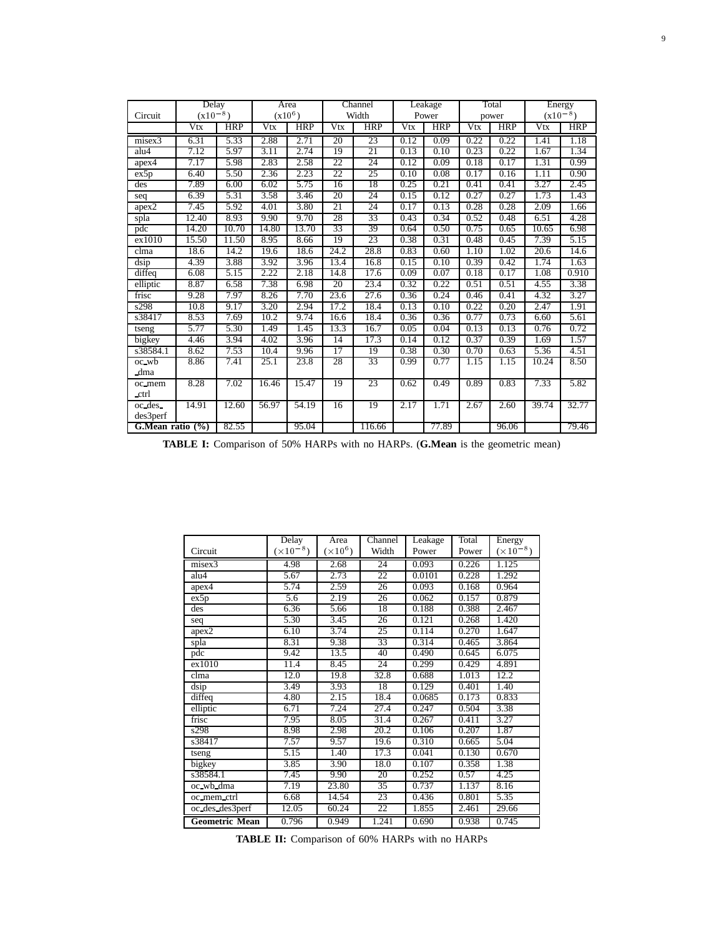| Circuit               | Delay<br>$(x10^{-8})$ |            |       | Area<br>$(x10^6)$ |                   | Channel<br>Width |      | Leakage<br>Power |      | Total<br>power |       | Energy<br>$(x10^{-8})$ |
|-----------------------|-----------------------|------------|-------|-------------------|-------------------|------------------|------|------------------|------|----------------|-------|------------------------|
|                       | Vtx                   | <b>HRP</b> | Vtx   | <b>HRP</b>        | Vtx               | <b>HRP</b>       | Vtx  | <b>HRP</b>       | Vtx  | <b>HRP</b>     | Vtx   | <b>HRP</b>             |
|                       |                       |            |       |                   |                   |                  |      |                  |      |                |       |                        |
| misex3                | 6.31                  | 5.33       | 2.88  | 2.71              | 20                | 23               | 0.12 | 0.09             | 0.22 | 0.22           | 1.41  | 1.18                   |
| alu4                  | 7.12                  | 5.97       | 3.11  | 2.74              | 19                | 21               | 0.13 | 0.10             | 0.23 | 0.22           | 1.67  | 1.34                   |
| apex4                 | 7.17                  | 5.98       | 2.83  | 2.58              | 22                | 24               | 0.12 | 0.09             | 0.18 | 0.17           | 1.31  | 0.99                   |
| ex5p                  | 6.40                  | 5.50       | 2.36  | 2.23              | 22                | 25               | 0.10 | 0.08             | 0.17 | 0.16           | 1.11  | 0.90                   |
| des                   | 7.89                  | 6.00       | 6.02  | 5.75              | 16                | 18               | 0.25 | 0.21             | 0.41 | 0.41           | 3.27  | 2.45                   |
| seq                   | 6.39                  | 5.31       | 3.58  | 3.46              | 20                | 24               | 0.15 | 0.12             | 0.27 | 0.27           | 1.73  | 1.43                   |
| apex2                 | 7.45                  | 5.92       | 4.01  | 3.80              | 21                | 24               | 0.17 | 0.13             | 0.28 | 0.28           | 2.09  | 1.66                   |
| spla                  | 12.40                 | 8.93       | 9.90  | 9.70              | 28                | 33               | 0.43 | 0.34             | 0.52 | 0.48           | 6.51  | 4.28                   |
| pdc                   | 14.20                 | 10.70      | 14.80 | 13.70             | $\overline{33}$   | 39               | 0.64 | 0.50             | 0.75 | 0.65           | 10.65 | 6.98                   |
| ex1010                | 15.50                 | 11.50      | 8.95  | 8.66              | 19                | 23               | 0.38 | 0.31             | 0.48 | 0.45           | 7.39  | 5.15                   |
| clma                  | 18.6                  | 14.2       | 19.6  | 18.6              | 24.2              | 28.8             | 0.83 | 0.60             | 1.10 | 1.02           | 20.6  | 14.6                   |
| dsip                  | 4.39                  | 3.88       | 3.92  | 3.96              | 13.4              | 16.8             | 0.15 | 0.10             | 0.39 | 0.42           | 1.74  | 1.63                   |
| diffeq                | 6.08                  | 5.15       | 2.22  | 2.18              | 14.8              | 17.6             | 0.09 | 0.07             | 0.18 | 0.17           | 1.08  | 0.910                  |
| elliptic              | 8.87                  | 6.58       | 7.38  | 6.98              | 20                | 23.4             | 0.32 | 0.22             | 0.51 | 0.51           | 4.55  | 3.38                   |
| frisc                 | 9.28                  | 7.97       | 8.26  | 7.70              | 23.6              | 27.6             | 0.36 | 0.24             | 0.46 | 0.41           | 4.32  | 3.27                   |
| s298                  | 10.8                  | 9.17       | 3.20  | 2.94              | $\overline{17.2}$ | 18.4             | 0.13 | 0.10             | 0.22 | 0.20           | 2.47  | 1.91                   |
| s38417                | $8.\overline{53}$     | 7.69       | 10.2  | 9.74              | 16.6              | 18.4             | 0.36 | 0.36             | 0.77 | 0.73           | 6.60  | 5.61                   |
| tseng                 | 5.77                  | 5.30       | 1.49  | 1.45              | 13.3              | 16.7             | 0.05 | 0.04             | 0.13 | 0.13           | 0.76  | 0.72                   |
| bigkey                | 4.46                  | 3.94       | 4.02  | 3.96              | 14                | 17.3             | 0.14 | 0.12             | 0.37 | 0.39           | 1.69  | 1.57                   |
| s38584.1              | 8.62                  | 7.53       | 10.4  | 9.96              | 17                | 19               | 0.38 | 0.30             | 0.70 | 0.63           | 5.36  | 4.51                   |
| oc wb                 | 8.86                  | 7.41       | 25.1  | 23.8              | 28                | 33               | 0.99 | 0.77             | 1.15 | 1.15           | 10.24 | 8.50                   |
| dma                   |                       |            |       |                   |                   |                  |      |                  |      |                |       |                        |
| oc_mem                | 8.28                  | 7.02       | 16.46 | 15.47             | 19                | 23               | 0.62 | 0.49             | 0.89 | 0.83           | 7.33  | 5.82                   |
| ctrl                  |                       |            |       |                   |                   |                  |      |                  |      |                |       |                        |
| oc des_               | 14.91                 | 12.60      | 56.97 | 54.19             | 16                | 19               | 2.17 | 1.71             | 2.67 | 2.60           | 39.74 | 32.77                  |
| des3perf              |                       |            |       |                   |                   |                  |      |                  |      |                |       |                        |
| G. Mean ratio $(\% )$ |                       | 82.55      |       | 95.04             |                   | 116.66           |      | 77.89            |      | 96.06          |       | 79.46                  |

**TABLE I:** Comparison of 50% HARPs with no HARPs. (**G.Mean** is the geometric mean)

|                       | Delay              | Area            | Channel | Leakage | Total | Energy             |
|-----------------------|--------------------|-----------------|---------|---------|-------|--------------------|
| Circuit               | $(\times 10^{-8})$ | $(\times 10^6)$ | Width   | Power   | Power | $(\times 10^{-8})$ |
| misex3                | 4.98               | 2.68            | 24      | 0.093   | 0.226 | 1.125              |
| alu4                  | 5.67               | 2.73            | 22      | 0.0101  | 0.228 | 1.292              |
| apex4                 | 5.74               | 2.59            | 26      | 0.093   | 0.168 | 0.964              |
| ex5p                  | 5.6                | 2.19            | 26      | 0.062   | 0.157 | 0.879              |
| des                   | 6.36               | 5.66            | 18      | 0.188   | 0.388 | 2.467              |
| seq                   | 5.30               | 3.45            | 26      | 0.121   | 0.268 | 1.420              |
| apex2                 | 6.10               | 3.74            | 25      | 0.114   | 0.270 | 1.647              |
| spla                  | 8.31               | 9.38            | 33      | 0.314   | 0.465 | 3.864              |
| pdc                   | 9.42               | 13.5            | 40      | 0.490   | 0.645 | 6.075              |
| ex1010                | 11.4               | 8.45            | 24      | 0.299   | 0.429 | 4.891              |
| clma                  | 12.0               | 19.8            | 32.8    | 0.688   | 1.013 | 12.2               |
| dsip                  | 3.49               | 3.93            | 18      | 0.129   | 0.401 | 1.40               |
| diffeq                | 4.80               | 2.15            | 18.4    | 0.0685  | 0.173 | 0.833              |
| elliptic              | 6.71               | 7.24            | 27.4    | 0.247   | 0.504 | 3.38               |
| frisc                 | 7.95               | 8.05            | 31.4    | 0.267   | 0.411 | 3.27               |
| s298                  | 8.98               | 2.98            | 20.2    | 0.106   | 0.207 | 1.87               |
| s38417                | 7.57               | 9.57            | 19.6    | 0.310   | 0.665 | 5.04               |
| tseng                 | 5.15               | 1.40            | 17.3    | 0.041   | 0.130 | 0.670              |
| bigkey                | 3.85               | 3.90            | 18.0    | 0.107   | 0.358 | 1.38               |
| s38584.1              | 7.45               | 9.90            | 20      | 0.252   | 0.57  | 4.25               |
| oc_wb_dma             | 7.19               | 23.80           | 35      | 0.737   | 1.137 | 8.16               |
| oc_mem_ctrl           | 6.68               | 14.54           | 23      | 0.436   | 0.801 | 5.35               |
| oc des des3perf       | 12.05              | 60.24           | 22      | 1.855   | 2.461 | 29.66              |
| <b>Geometric Mean</b> | 0.796              | 0.949           | 1.241   | 0.690   | 0.938 | 0.745              |

**TABLE II:** Comparison of 60% HARPs with no HARPs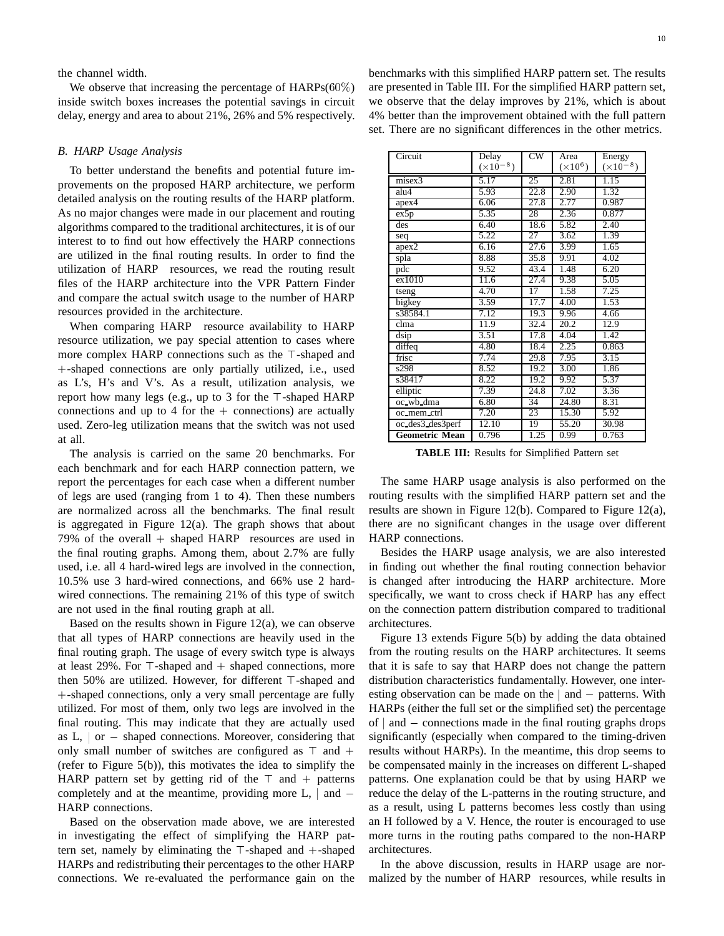the channel width.

We observe that increasing the percentage of  $HARPs(60\%)$ inside switch boxes increases the potential savings in circuit delay, energy and area to about 21%, 26% and 5% respectively.

## *B. HARP Usage Analysis*

To better understand the benefits and potential future improvements on the proposed HARP architecture, we perform detailed analysis on the routing results of the HARP platform. As no major changes were made in our placement and routing algorithms compared to the traditional architectures, it is of our interest to to find out how effectively the HARP connections are utilized in the final routing results. In order to find the utilization of HARP resources, we read the routing result files of the HARP architecture into the VPR Pattern Finder and compare the actual switch usage to the number of HARP resources provided in the architecture.

When comparing HARP resource availability to HARP resource utilization, we pay special attention to cases where more complex HARP connections such as the  $\top$ -shaped and <sup>+</sup>-shaped connections are only partially utilized, i.e., used as L's, H's and V's. As a result, utilization analysis, we report how many legs (e.g., up to 3 for the  $\top$ -shaped HARP connections and up to 4 for the  $+$  connections) are actually used. Zero-leg utilization means that the switch was not used at all.

The analysis is carried on the same 20 benchmarks. For each benchmark and for each HARP connection pattern, we report the percentages for each case when a different number of legs are used (ranging from 1 to 4). Then these numbers are normalized across all the benchmarks. The final result is aggregated in Figure 12(a). The graph shows that about 79% of the overall <sup>+</sup> shaped HARP resources are used in the final routing graphs. Among them, about 2.7% are fully used, i.e. all 4 hard-wired legs are involved in the connection, 10.5% use 3 hard-wired connections, and 66% use 2 hardwired connections. The remaining 21% of this type of switch are not used in the final routing graph at all.

Based on the results shown in Figure 12(a), we can observe that all types of HARP connections are heavily used in the final routing graph. The usage of every switch type is always at least 29%. For  $\top$ -shaped and  $+$  shaped connections, more then  $50\%$  are utilized. However, for different  $\top$ -shaped and <sup>+</sup>-shaped connections, only a very small percentage are fully utilized. For most of them, only two legs are involved in the final routing. This may indicate that they are actually used as  $L$ ,  $\sigma$  - shaped connections. Moreover, considering that only small number of switches are configured as  $\top$  and  $+$ (refer to Figure 5(b)), this motivates the idea to simplify the HARP pattern set by getting rid of the  $\top$  and  $+$  patterns completely and at the meantime, providing more  $L$ ,  $|$  and  $-$ HARP connections.

Based on the observation made above, we are interested in investigating the effect of simplifying the HARP pattern set, namely by eliminating the  $\top$ -shaped and  $+$ -shaped HARPs and redistributing their percentages to the other HARP connections. We re-evaluated the performance gain on the benchmarks with this simplified HARP pattern set. The results are presented in Table III. For the simplified HARP pattern set, we observe that the delay improves by 21%, which is about 4% better than the improvement obtained with the full pattern set. There are no significant differences in the other metrics.

| Circuit               | Delay              | $\overline{\text{cw}}$ | Area            | Energy             |
|-----------------------|--------------------|------------------------|-----------------|--------------------|
|                       | $(\times 10^{-8})$ |                        | $(\times 10^6)$ | $(\times 10^{-8})$ |
| misex3                | 5.17               | 25                     | 2.81            | 1.15               |
| alu4                  | 5.93               | 22.8                   | 2.90            | 1.32               |
| apex4                 | 6.06               | 27.8                   | 2.77            | 0.987              |
| ex5p                  | 5.35               | 28                     | 2.36            | 0.877              |
| des                   | 6.40               | 18.6                   | 5.82            | 2.40               |
| seq                   | 5.22               | 27                     | 3.62            | 1.39               |
| apex2                 | 6.16               | 27.6                   | 3.99            | 1.65               |
| spla                  | 8.88               | 35.8                   | 9.91            | 4.02               |
| pdc                   | 9.52               | 43.4                   | 1.48            | 6.20               |
| ex1010                | 11.6               | 27.4                   | 9.38            | 5.05               |
| tseng                 | 4.70               | 17                     | 1.58            | 7.25               |
| bigkey                | 3.59               | 17.7                   | 4.00            | 1.53               |
| s38584.1              | 7.12               | 19.3                   | 9.96            | 4.66               |
| clma                  | 11.9               | 32.4                   | 20.2            | 12.9               |
| dsip                  | 3.51               | 17.8                   | 4.04            | 1.42               |
| diffeq                | 4.80               | 18.4                   | 2.25            | 0.863              |
| frisc                 | 7.74               | 29.8                   | 7.95            | 3.15               |
| s298                  | 8.52               | 19.2                   | 3.00            | 1.86               |
| s38417                | 8.22               | 19.2                   | 9.92            | 5.37               |
| elliptic              | 7.39               | 24.8                   | 7.02            | 3.36               |
| oc_wb_dma             | 6.80               | 34                     | 24.80           | 8.31               |
| oc_mem_ctrl           | 7.20               | 23                     | 15.30           | 5.92               |
| oc_des3_des3perf      | 12.10              | 19                     | 55.20           | 30.98              |
| <b>Geometric Mean</b> | 0.796              | 1.25                   | 0.99            | 0.763              |

**TABLE III:** Results for Simplified Pattern set

The same HARP usage analysis is also performed on the routing results with the simplified HARP pattern set and the results are shown in Figure 12(b). Compared to Figure 12(a), there are no significant changes in the usage over different HARP connections.

Besides the HARP usage analysis, we are also interested in finding out whether the final routing connection behavior is changed after introducing the HARP architecture. More specifically, we want to cross check if HARP has any effect on the connection pattern distribution compared to traditional architectures.

Figure 13 extends Figure 5(b) by adding the data obtained from the routing results on the HARP architectures. It seems that it is safe to say that HARP does not change the pattern distribution characteristics fundamentally. However, one interesting observation can be made on the  $|$  and  $-$  patterns. With HARPs (either the full set or the simplified set) the percentage of  $\vert$  and  $\vert$  connections made in the final routing graphs drops significantly (especially when compared to the timing-driven results without HARPs). In the meantime, this drop seems to be compensated mainly in the increases on different L-shaped patterns. One explanation could be that by using HARP we reduce the delay of the L-patterns in the routing structure, and as a result, using L patterns becomes less costly than using an H followed by a V. Hence, the router is encouraged to use more turns in the routing paths compared to the non-HARP architectures.

In the above discussion, results in HARP usage are normalized by the number of HARP resources, while results in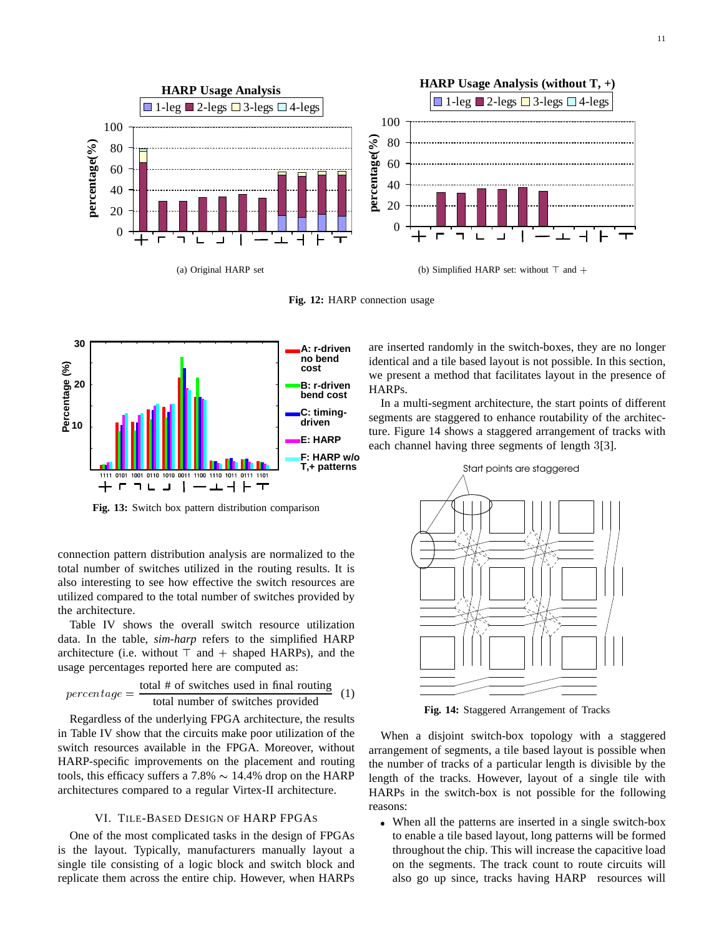

(a) Original HARP set

(b) Simplified HARP set: without  $\top$  and  $+$ 

**Fig. 12:** HARP connection usage



**Fig. 13:** Switch box pattern distribution comparison

connection pattern distribution analysis are normalized to the total number of switches utilized in the routing results. It is also interesting to see how effective the switch resources are utilized compared to the total number of switches provided by the architecture.

Table IV shows the overall switch resource utilization data. In the table, *sim-harp* refers to the simplified HARP architecture (i.e. without  $\top$  and  $+$  shaped HARPs), and the usage percentages reported here are computed as:

$$
percentage = \frac{\text{total # of switches used in final routing}}{\text{total number of switches provided}}
$$
 (1)

Regardless of the underlying FPGA architecture, the results in Table IV show that the circuits make poor utilization of the switch resources available in the FPGA. Moreover, without HARP-specific improvements on the placement and routing tools, this efficacy suffers a 7.8%  $\sim$  14.4% drop on the HARP architectures compared to a regular Virtex-II architecture.

# VI. TILE-BASED DESIGN OF HARP FPGAS

One of the most complicated tasks in the design of FPGAs is the layout. Typically, manufacturers manually layout a single tile consisting of a logic block and switch block and replicate them across the entire chip. However, when HARPs are inserted randomly in the switch-boxes, they are no longer identical and a tile based layout is not possible. In this section, we present a method that facilitates layout in the presence of HARPs.

In a multi-segment architecture, the start points of different segments are staggered to enhance routability of the architecture. Figure 14 shows a staggered arrangement of tracks with each channel having three segments of length <sup>3</sup>[3].



**Fig. 14:** Staggered Arrangement of Tracks

When a disjoint switch-box topology with a staggered arrangement of segments, a tile based layout is possible when the number of tracks of a particular length is divisible by the length of the tracks. However, layout of a single tile with HARPs in the switch-box is not possible for the following reasons:

 When all the patterns are inserted in a single switch-box to enable a tile based layout, long patterns will be formed throughout the chip. This will increase the capacitive load on the segments. The track count to route circuits will also go up since, tracks having HARP resources will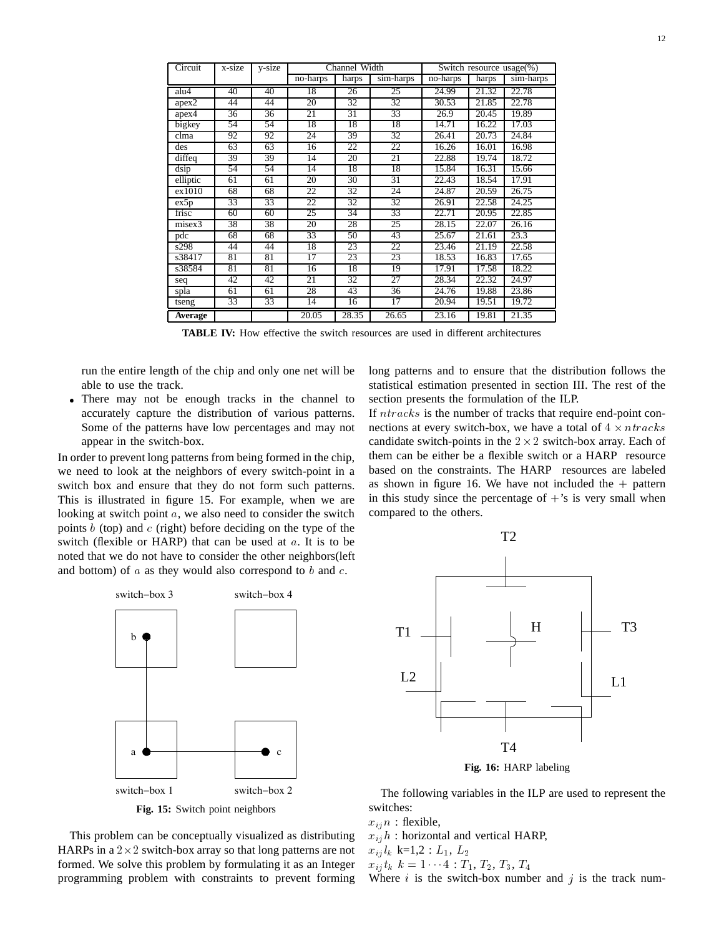| Circuit                    | x-size | y-size | Channel Width          |       | Switch resource usage(%) |                        |       |           |
|----------------------------|--------|--------|------------------------|-------|--------------------------|------------------------|-------|-----------|
|                            |        |        | $\overline{no}$ -harps | harps | sim-harps                | $\overline{no}$ -harps | harps | sim-harps |
| alu4                       | 40     | 40     | 18                     | 26    | 25                       | 24.99                  | 21.32 | 22.78     |
| apex2                      | 44     | 44     | 20                     | 32    | 32                       | 30.53                  | 21.85 | 22.78     |
| apex4                      | 36     | 36     | 21                     | 31    | 33                       | 26.9                   | 20.45 | 19.89     |
| bigkey                     | 54     | 54     | 18                     | 18    | 18                       | 14.71                  | 16.22 | 17.03     |
| clma                       | 92     | 92     | 24                     | 39    | 32                       | 26.41                  | 20.73 | 24.84     |
| des                        | 63     | 63     | 16                     | 22    | 22                       | 16.26                  | 16.01 | 16.98     |
| $\overline{\text{diffeq}}$ | 39     | 39     | 14                     | 20    | 21                       | 22.88                  | 19.74 | 18.72     |
| dsip                       | 54     | 54     | 14                     | 18    | 18                       | 15.84                  | 16.31 | 15.66     |
| elliptic                   | 61     | 61     | 20                     | 30    | 31                       | 22.43                  | 18.54 | 17.91     |
| ex1010                     | 68     | 68     | 22                     | 32    | 24                       | 24.87                  | 20.59 | 26.75     |
| ex5p                       | 33     | 33     | 22                     | 32    | 32                       | 26.91                  | 22.58 | 24.25     |
| frisc                      | 60     | 60     | 25                     | 34    | 33                       | 22.71                  | 20.95 | 22.85     |
| misex3                     | 38     | 38     | 20                     | 28    | 25                       | 28.15                  | 22.07 | 26.16     |
| pdc                        | 68     | 68     | 33                     | 50    | 43                       | 25.67                  | 21.61 | 23.3      |
| s298                       | 44     | 44     | 18                     | 23    | 22                       | 23.46                  | 21.19 | 22.58     |
| s38417                     | 81     | 81     | 17                     | 23    | 23                       | 18.53                  | 16.83 | 17.65     |
| s38584                     | 81     | 81     | 16                     | 18    | 19                       | 17.91                  | 17.58 | 18.22     |
| seq                        | 42     | 42     | 21                     | 32    | 27                       | 28.34                  | 22.32 | 24.97     |
| spla                       | 61     | 61     | 28                     | 43    | 36                       | 24.76                  | 19.88 | 23.86     |
| tseng                      | 33     | 33     | 14                     | 16    | 17                       | 20.94                  | 19.51 | 19.72     |
| Average                    |        |        | 20.05                  | 28.35 | 26.65                    | 23.16                  | 19.81 | 21.35     |

**TABLE IV:** How effective the switch resources are used in different architectures

run the entire length of the chip and only one net will be able to use the track.

 There may not be enough tracks in the channel to accurately capture the distribution of various patterns. Some of the patterns have low percentages and may not appear in the switch-box.

In order to prevent long patterns from being formed in the chip, we need to look at the neighbors of every switch-point in a switch box and ensure that they do not form such patterns. This is illustrated in figure 15. For example, when we are looking at switch point <sup>a</sup>, we also need to consider the switch points  $b$  (top) and  $c$  (right) before deciding on the type of the switch (flexible or HARP) that can be used at  $a$ . It is to be noted that we do not have to consider the other neighbors(left and bottom) of  $a$  as they would also correspond to  $b$  and  $c$ .



**Fig. 15:** Switch point neighbors

This problem can be conceptually visualized as distributing HARPs in a  $2\times 2$  switch-box array so that long patterns are not formed. We solve this problem by formulating it as an Integer programming problem with constraints to prevent forming long patterns and to ensure that the distribution follows the statistical estimation presented in section III. The rest of the section presents the formulation of the ILP.

If  $ntracks$  is the number of tracks that require end-point connections at every switch-box, we have a total of  $4 \times ntracks$ candidate switch-points in the  $2 \times 2$  switch-box array. Each of them can be either be a flexible switch or a HARP resource based on the constraints. The HARP resources are labeled as shown in figure 16. We have not included the  $+$  pattern in this study since the percentage of  $+$ 's is very small when compared to the others.



The following variables in the ILP are used to represent the switches:

 $x_{ij}$  n : flexible,

 $x_{ij}$ h : horizontal and vertical HARP,

 $x_{ij} l_k$  k=1,2 :  $L_1, L_2$ 

 $x_{ij} t_k \; k = 1 \cdots 4 : T_1, T_2, T_3, T_4$ 

Where i is the switch-box number and j is the track num-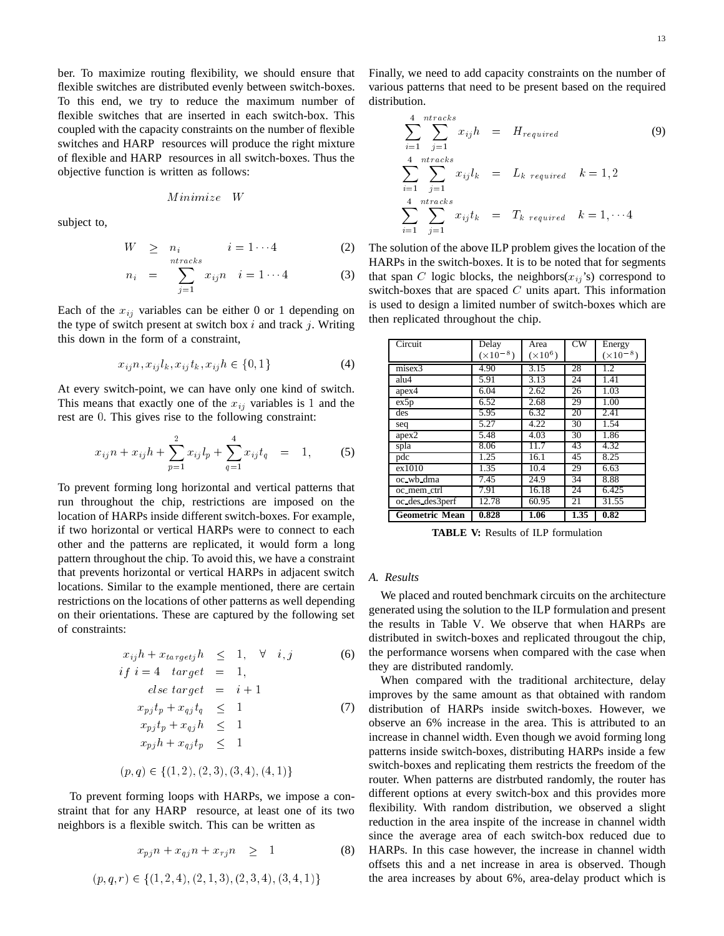ber. To maximize routing flexibility, we should ensure that flexible switches are distributed evenly between switch-boxes. To this end, we try to reduce the maximum number of flexible switches that are inserted in each switch-box. This coupled with the capacity constraints on the number of flexible switches and HARP resources will produce the right mixture of flexible and HARP resources in all switch-boxes. Thus the objective function is written as follows:

$$
Minimize \quad W
$$

subject to,

$$
W \geq n_i \qquad i = 1 \cdots 4 \qquad (2)
$$

$$
n_i = \sum_{j=1}^{n} x_{ij} n \quad i = 1 \cdots 4 \tag{3}
$$

Each of the  $x_{ij}$  variables can be either 0 or 1 depending on the type of switch present at switch box  $i$  and track  $j$ . Writing this down in the form of a constraint,

$$
x_{ij}n, x_{ij}l_k, x_{ij}t_k, x_{ij}h \in \{0, 1\}
$$
 (4)

At every switch-point, we can have only one kind of switch. This means that exactly one of the  $x_{ij}$  variables is 1 and the rest are <sup>0</sup>. This gives rise to the following constraint:

$$
x_{ij}n + x_{ij}h + \sum_{p=1}^{2} x_{ij}l_p + \sum_{q=1}^{4} x_{ij}t_q = 1, \qquad (5)
$$

To prevent forming long horizontal and vertical patterns that run throughout the chip, restrictions are imposed on the location of HARPs inside different switch-boxes. For example, if two horizontal or vertical HARPs were to connect to each other and the patterns are replicated, it would form a long pattern throughout the chip. To avoid this, we have a constraint that prevents horizontal or vertical HARPs in adjacent switch locations. Similar to the example mentioned, there are certain restrictions on the locations of other patterns as well depending on their orientations. These are captured by the following set of constraints:

$$
x_{ij}h + x_{targetj}h \leq 1, \forall i, j
$$
 (6)  
\nif  $i = 4$  target = 1,  
\nelse target =  $i + 1$   
\n
$$
x_{pj}t_p + x_{qj}t_q \leq 1
$$
 (7)  
\n
$$
x_{pj}t_p + x_{qj}h \leq 1
$$
  
\n
$$
x_{pj}h + x_{qj}t_p \leq 1
$$
  
\n
$$
(p, q) \in \{(1, 2), (2, 3), (3, 4), (4, 1)\}
$$

To prevent forming loops with HARPs, we impose a constraint that for any HARP resource, at least one of its two neighbors is a flexible switch. This can be written as

$$
x_{pj}n + x_{qj}n + x_{rj}n \ge 1
$$
\n(8)  
\n
$$
(p, q, r) \in \{(1, 2, 4), (2, 1, 3), (2, 3, 4), (3, 4, 1)\}
$$

Finally, we need to add capacity constraints on the number of various patterns that need to be present based on the required distribution.

$$
\sum_{i=1}^{4} \sum_{j=1}^{ntracks} x_{ij}h = H_{required}
$$
\n
$$
\sum_{i=1}^{4} \sum_{j=1}^{ntracks} x_{ij}l_k = L_{k\ required} \quad k = 1, 2
$$
\n
$$
\sum_{i=1}^{4} \sum_{j=1}^{ntracks} x_{ij}t_k = T_{k\ required} \quad k = 1, \dots 4
$$
\n(9)

The solution of the above ILP problem gives the location of the HARPs in the switch-boxes. It is to be noted that for segments that span C logic blocks, the neighbors( $x_{ij}$ 's) correspond to switch-boxes that are spaced  $C$  units apart. This information is used to design a limited number of switch-boxes which are then replicated throughout the chip.

| Circuit               | Delay              | Area            | $\overline{\text{cw}}$ | Energy             |
|-----------------------|--------------------|-----------------|------------------------|--------------------|
|                       | $(\times 10^{-8})$ | $(\times 10^6)$ |                        | $(\times 10^{-8})$ |
| misex3                | 4.90               | 3.15            | 28                     | 1.2                |
| alu4                  | 5.91               | 3.13            | 24                     | 1.41               |
| apex4                 | 6.04               | 2.62            | 26                     | 1.03               |
| ex5p                  | 6.52               | 2.68            | 29                     | 1.00               |
| des                   | 5.95               | 6.32            | 20                     | 2.41               |
| seq                   | 5.27               | 4.22            | 30                     | 1.54               |
| apex2                 | 5.48               | 4.03            | $\overline{3}0$        | 1.86               |
| spla                  | 8.06               | 11.7            | 43                     | 4.32               |
| pdc                   | 1.25               | 16.1            | 45                     | 8.25               |
| ex1010                | 1.35               | 10.4            | 29                     | 6.63               |
| oc wb dma             | 7.45               | 24.9            | 34                     | 8.88               |
| oc mem ctrl           | 7.91               | 16.18           | 24                     | 6.425              |
| oc des des3perf       | 12.78              | 60.95           | 21                     | 31.55              |
| <b>Geometric Mean</b> | 0.828              | 1.06            | 1.35                   | 0.82               |

**TABLE V:** Results of ILP formulation

## *A. Results*

We placed and routed benchmark circuits on the architecture generated using the solution to the ILP formulation and present the results in Table V. We observe that when HARPs are distributed in switch-boxes and replicated througout the chip, the performance worsens when compared with the case when they are distributed randomly.

When compared with the traditional architecture, delay improves by the same amount as that obtained with random distribution of HARPs inside switch-boxes. However, we observe an 6% increase in the area. This is attributed to an increase in channel width. Even though we avoid forming long patterns inside switch-boxes, distributing HARPs inside a few switch-boxes and replicating them restricts the freedom of the router. When patterns are distrbuted randomly, the router has different options at every switch-box and this provides more flexibility. With random distribution, we observed a slight reduction in the area inspite of the increase in channel width since the average area of each switch-box reduced due to HARPs. In this case however, the increase in channel width offsets this and a net increase in area is observed. Though the area increases by about 6%, area-delay product which is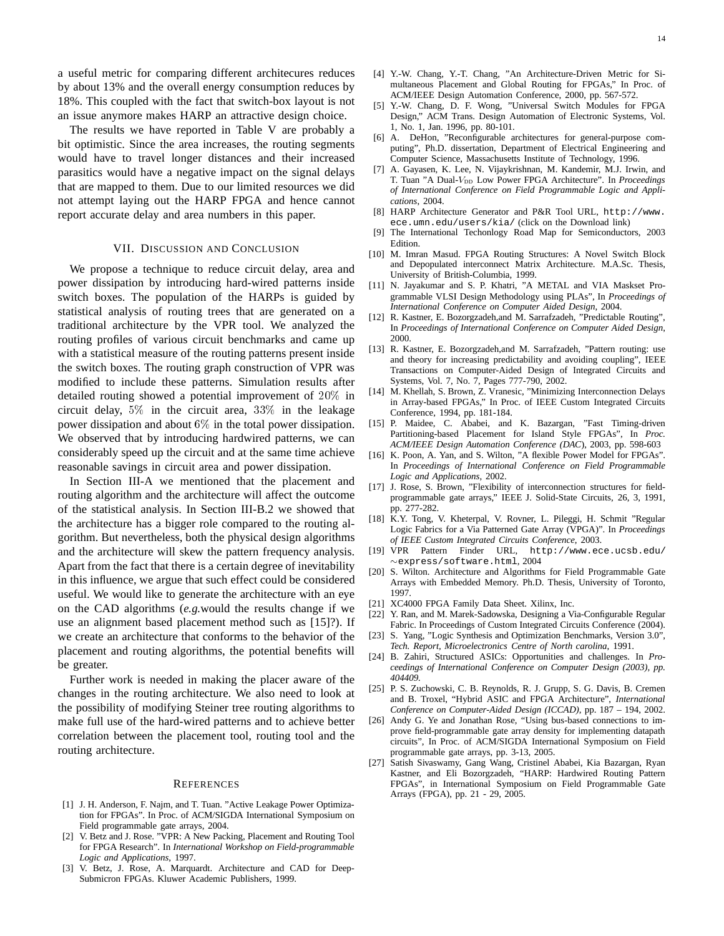a useful metric for comparing different architecures reduces by about 13% and the overall energy consumption reduces by 18%. This coupled with the fact that switch-box layout is not an issue anymore makes HARP an attractive design choice.

The results we have reported in Table V are probably a bit optimistic. Since the area increases, the routing segments would have to travel longer distances and their increased parasitics would have a negative impact on the signal delays that are mapped to them. Due to our limited resources we did not attempt laying out the HARP FPGA and hence cannot report accurate delay and area numbers in this paper.

#### VII. DISCUSSION AND CONCLUSION

We propose a technique to reduce circuit delay, area and power dissipation by introducing hard-wired patterns inside switch boxes. The population of the HARPs is guided by statistical analysis of routing trees that are generated on a traditional architecture by the VPR tool. We analyzed the routing profiles of various circuit benchmarks and came up with a statistical measure of the routing patterns present inside the switch boxes. The routing graph construction of VPR was modified to include these patterns. Simulation results after detailed routing showed a potential improvement of 20% in circuit delay, 5% in the circuit area, 33% in the leakage power dissipation and about 6% in the total power dissipation. We observed that by introducing hardwired patterns, we can considerably speed up the circuit and at the same time achieve reasonable savings in circuit area and power dissipation.

In Section III-A we mentioned that the placement and routing algorithm and the architecture will affect the outcome of the statistical analysis. In Section III-B.2 we showed that the architecture has a bigger role compared to the routing algorithm. But nevertheless, both the physical design algorithms and the architecture will skew the pattern frequency analysis. Apart from the fact that there is a certain degree of inevitability in this influence, we argue that such effect could be considered useful. We would like to generate the architecture with an eye on the CAD algorithms (*e.g.*would the results change if we use an alignment based placement method such as [15]?). If we create an architecture that conforms to the behavior of the placement and routing algorithms, the potential benefits will be greater.

Further work is needed in making the placer aware of the changes in the routing architecture. We also need to look at the possibility of modifying Steiner tree routing algorithms to make full use of the hard-wired patterns and to achieve better correlation between the placement tool, routing tool and the routing architecture.

#### **REFERENCES**

- [1] J. H. Anderson, F. Najm, and T. Tuan. "Active Leakage Power Optimization for FPGAs". In Proc. of ACM/SIGDA International Symposium on Field programmable gate arrays, 2004.
- [2] V. Betz and J. Rose. "VPR: A New Packing, Placement and Routing Tool for FPGA Research". In *International Workshop on Field-programmable Logic and Applications*, 1997.
- [3] V. Betz, J. Rose, A. Marquardt. Architecture and CAD for Deep-Submicron FPGAs. Kluwer Academic Publishers, 1999.
- [4] Y.-W. Chang, Y.-T. Chang, "An Architecture-Driven Metric for Simultaneous Placement and Global Routing for FPGAs," In Proc. of ACM/IEEE Design Automation Conference, 2000, pp. 567-572.
- [5] Y.-W. Chang, D. F. Wong, "Universal Switch Modules for FPGA Design," ACM Trans. Design Automation of Electronic Systems, Vol. 1, No. 1, Jan. 1996, pp. 80-101.
- [6] A. DeHon, "Reconfigurable architectures for general-purpose computing", Ph.D. dissertation, Department of Electrical Engineering and Computer Science, Massachusetts Institute of Technology, 1996.
- [7] A. Gayasen, K. Lee, N. Vijaykrishnan, M. Kandemir, M.J. Irwin, and T. Tuan "A Dual-V<sub>DD</sub> Low Power FPGA Architecture". In *Proceedings of International Conference on Field Programmable Logic and Applications*, 2004.
- [8] HARP Architecture Generator and P&R Tool URL, http://www. ece.umn.edu/users/kia/ (click on the Download link)
- [9] The International Techonlogy Road Map for Semiconductors, 2003 Edition.
- [10] M. Imran Masud. FPGA Routing Structures: A Novel Switch Block and Depopulated interconnect Matrix Architecture. M.A.Sc. Thesis, University of British-Columbia, 1999.
- [11] N. Jayakumar and S. P. Khatri, "A METAL and VIA Maskset Programmable VLSI Design Methodology using PLAs", In *Proceedings of International Conference on Computer Aided Design*, 2004.
- [12] R. Kastner, E. Bozorgzadeh,and M. Sarrafzadeh, "Predictable Routing", In *Proceedings of International Conference on Computer Aided Design*, 2000.
- [13] R. Kastner, E. Bozorgzadeh,and M. Sarrafzadeh, "Pattern routing: use and theory for increasing predictability and avoiding coupling", IEEE Transactions on Computer-Aided Design of Integrated Circuits and Systems, Vol. 7, No. 7, Pages 777-790, 2002.
- [14] M. Khellah, S. Brown, Z. Vranesic, "Minimizing Interconnection Delays in Array-based FPGAs," In Proc. of IEEE Custom Integrated Circuits Conference, 1994, pp. 181-184.
- [15] P. Maidee, C. Ababei, and K. Bazargan, "Fast Timing-driven Partitioning-based Placement for Island Style FPGAs", In *Proc. ACM/IEEE Design Automation Conference (DAC*), 2003, pp. 598-603
- [16] K. Poon, A. Yan, and S. Wilton, "A flexible Power Model for FPGAs". In *Proceedings of International Conference on Field Programmable Logic and Applications*, 2002.
- [17] J. Rose, S. Brown, "Flexibility of interconnection structures for fieldprogrammable gate arrays," IEEE J. Solid-State Circuits, 26, 3, 1991, pp. 277-282.
- [18] K.Y. Tong, V. Kheterpal, V. Rovner, L. Pileggi, H. Schmit "Regular Logic Fabrics for a Via Patterned Gate Array (VPGA)". In *Proceedings of IEEE Custom Integrated Circuits Conference*, 2003.
- [19] VPR Pattern Finder URL, http://www.ece.ucsb.edu/  $\sim$ express/software.html, 2004
- [20] S. Wilton. Architecture and Algorithms for Field Programmable Gate Arrays with Embedded Memory. Ph.D. Thesis, University of Toronto, 1997.
- [21] XC4000 FPGA Family Data Sheet. Xilinx, Inc.
- [22] Y. Ran, and M. Marek-Sadowska, Designing a Via-Configurable Regular
- Fabric. In Proceedings of Custom Integrated Circuits Conference (2004). [23] S. Yang, "Logic Synthesis and Optimization Benchmarks, Version 3.0",
- *Tech. Report, Microelectronics Centre of North carolina*, 1991.
- [24] B. Zahiri, Structured ASICs: Opportunities and challenges. In *Proceedings of International Conference on Computer Design (2003), pp. 404409.*
- [25] P. S. Zuchowski, C. B. Reynolds, R. J. Grupp, S. G. Davis, B. Cremen and B. Troxel, "Hybrid ASIC and FPGA Architecture", *International Conference on Computer-Aided Design (ICCAD)*, pp. 187 – 194, 2002.
- [26] Andy G. Ye and Jonathan Rose, "Using bus-based connections to improve field-programmable gate array density for implementing datapath circuits", In Proc. of ACM/SIGDA International Symposium on Field programmable gate arrays, pp. 3-13, 2005.
- [27] Satish Sivaswamy, Gang Wang, Cristinel Ababei, Kia Bazargan, Ryan Kastner, and Eli Bozorgzadeh, "HARP: Hardwired Routing Pattern FPGAs", in International Symposium on Field Programmable Gate Arrays (FPGA), pp. 21 - 29, 2005.